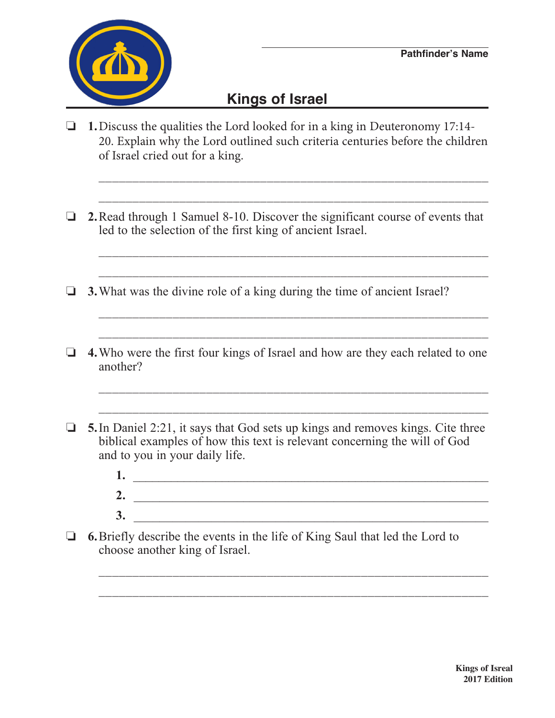

## **Kings of Israel**

o **1.**Discuss the qualities the Lord looked for in a king in Deuteronomy 17:14- 20. Explain why the Lord outlined such criteria centuries before the children of Israel cried out for a king.

 $\overline{\phantom{a}}$  ,  $\overline{\phantom{a}}$  ,  $\overline{\phantom{a}}$  ,  $\overline{\phantom{a}}$  ,  $\overline{\phantom{a}}$  ,  $\overline{\phantom{a}}$  ,  $\overline{\phantom{a}}$  ,  $\overline{\phantom{a}}$  ,  $\overline{\phantom{a}}$  ,  $\overline{\phantom{a}}$  ,  $\overline{\phantom{a}}$  ,  $\overline{\phantom{a}}$  ,  $\overline{\phantom{a}}$  ,  $\overline{\phantom{a}}$  ,  $\overline{\phantom{a}}$  ,  $\overline{\phantom{a}}$ 

 $\overline{\phantom{a}}$  ,  $\overline{\phantom{a}}$  ,  $\overline{\phantom{a}}$  ,  $\overline{\phantom{a}}$  ,  $\overline{\phantom{a}}$  ,  $\overline{\phantom{a}}$  ,  $\overline{\phantom{a}}$  ,  $\overline{\phantom{a}}$  ,  $\overline{\phantom{a}}$  ,  $\overline{\phantom{a}}$  ,  $\overline{\phantom{a}}$  ,  $\overline{\phantom{a}}$  ,  $\overline{\phantom{a}}$  ,  $\overline{\phantom{a}}$  ,  $\overline{\phantom{a}}$  ,  $\overline{\phantom{a}}$ 

o **2.**Read through 1 Samuel 8-10. Discover the significant course of events that led to the selection of the first king of ancient Israel.

 $\overline{\phantom{a}}$  ,  $\overline{\phantom{a}}$  ,  $\overline{\phantom{a}}$  ,  $\overline{\phantom{a}}$  ,  $\overline{\phantom{a}}$  ,  $\overline{\phantom{a}}$  ,  $\overline{\phantom{a}}$  ,  $\overline{\phantom{a}}$  ,  $\overline{\phantom{a}}$  ,  $\overline{\phantom{a}}$  ,  $\overline{\phantom{a}}$  ,  $\overline{\phantom{a}}$  ,  $\overline{\phantom{a}}$  ,  $\overline{\phantom{a}}$  ,  $\overline{\phantom{a}}$  ,  $\overline{\phantom{a}}$ 

\_\_\_\_\_\_\_\_\_\_\_\_\_\_\_\_\_\_\_\_\_\_\_\_\_\_\_\_\_\_\_\_\_\_\_\_\_\_\_\_\_\_\_\_\_\_\_\_\_\_\_\_\_\_\_\_\_\_

\_\_\_\_\_\_\_\_\_\_\_\_\_\_\_\_\_\_\_\_\_\_\_\_\_\_\_\_\_\_\_\_\_\_\_\_\_\_\_\_\_\_\_\_\_\_\_\_\_\_\_\_\_\_\_\_\_\_

- $\Box$  **3.** What was the divine role of a king during the time of ancient Israel?
- **4.** Who were the first four kings of Israel and how are they each related to one another?

\_\_\_\_\_\_\_\_\_\_\_\_\_\_\_\_\_\_\_\_\_\_\_\_\_\_\_\_\_\_\_\_\_\_\_\_\_\_\_\_\_\_\_\_\_\_\_\_\_\_\_\_\_\_\_\_\_\_

 $\overline{\phantom{a}}$  ,  $\overline{\phantom{a}}$  ,  $\overline{\phantom{a}}$  ,  $\overline{\phantom{a}}$  ,  $\overline{\phantom{a}}$  ,  $\overline{\phantom{a}}$  ,  $\overline{\phantom{a}}$  ,  $\overline{\phantom{a}}$  ,  $\overline{\phantom{a}}$  ,  $\overline{\phantom{a}}$  ,  $\overline{\phantom{a}}$  ,  $\overline{\phantom{a}}$  ,  $\overline{\phantom{a}}$  ,  $\overline{\phantom{a}}$  ,  $\overline{\phantom{a}}$  ,  $\overline{\phantom{a}}$ 

\_\_\_\_\_\_\_\_\_\_\_\_\_\_\_\_\_\_\_\_\_\_\_\_\_\_\_\_\_\_\_\_\_\_\_\_\_\_\_\_\_\_\_\_\_\_\_\_\_\_\_\_\_\_\_\_\_\_

- $\Box$  **5.** In Daniel 2:21, it says that God sets up kings and removes kings. Cite three biblical examples of how this text is relevant concerning the will of God and to you in your daily life.
	- **1.** \_\_\_\_\_\_\_\_\_\_\_\_\_\_\_\_\_\_\_\_\_\_\_\_\_\_\_\_\_\_\_\_\_\_\_\_\_\_\_\_\_\_\_\_\_\_\_\_\_\_\_\_\_\_\_\_  **2.** \_\_\_\_\_\_\_\_\_\_\_\_\_\_\_\_\_\_\_\_\_\_\_\_\_\_\_\_\_\_\_\_\_\_\_\_\_\_\_\_\_\_\_\_\_\_\_\_\_\_\_\_\_\_\_  **3.** \_\_\_\_\_\_\_\_\_\_\_\_\_\_\_\_\_\_\_\_\_\_\_\_\_\_\_\_\_\_\_\_\_\_\_\_\_\_\_\_\_\_\_\_\_\_\_\_\_\_\_\_\_\_\_

\_\_\_\_\_\_\_\_\_\_\_\_\_\_\_\_\_\_\_\_\_\_\_\_\_\_\_\_\_\_\_\_\_\_\_\_\_\_\_\_\_\_\_\_\_\_\_\_\_\_\_\_\_\_\_\_\_\_

 $\Box$  **6.** Briefly describe the events in the life of King Saul that led the Lord to choose another king of Israel.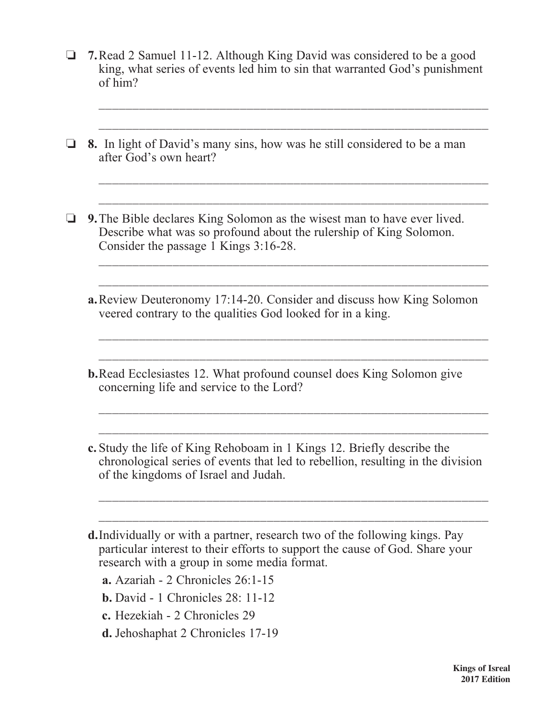□ 7. Read 2 Samuel 11-12. Although King David was considered to be a good king, what series of events led him to sin that warranted God's punishment of him?

 $\overline{\phantom{a}}$  ,  $\overline{\phantom{a}}$  ,  $\overline{\phantom{a}}$  ,  $\overline{\phantom{a}}$  ,  $\overline{\phantom{a}}$  ,  $\overline{\phantom{a}}$  ,  $\overline{\phantom{a}}$  ,  $\overline{\phantom{a}}$  ,  $\overline{\phantom{a}}$  ,  $\overline{\phantom{a}}$  ,  $\overline{\phantom{a}}$  ,  $\overline{\phantom{a}}$  ,  $\overline{\phantom{a}}$  ,  $\overline{\phantom{a}}$  ,  $\overline{\phantom{a}}$  ,  $\overline{\phantom{a}}$ 

\_\_\_\_\_\_\_\_\_\_\_\_\_\_\_\_\_\_\_\_\_\_\_\_\_\_\_\_\_\_\_\_\_\_\_\_\_\_\_\_\_\_\_\_\_\_\_\_\_\_\_\_\_\_\_\_\_\_

\_\_\_\_\_\_\_\_\_\_\_\_\_\_\_\_\_\_\_\_\_\_\_\_\_\_\_\_\_\_\_\_\_\_\_\_\_\_\_\_\_\_\_\_\_\_\_\_\_\_\_\_\_\_\_\_\_\_

 $\overline{\phantom{a}}$  ,  $\overline{\phantom{a}}$  ,  $\overline{\phantom{a}}$  ,  $\overline{\phantom{a}}$  ,  $\overline{\phantom{a}}$  ,  $\overline{\phantom{a}}$  ,  $\overline{\phantom{a}}$  ,  $\overline{\phantom{a}}$  ,  $\overline{\phantom{a}}$  ,  $\overline{\phantom{a}}$  ,  $\overline{\phantom{a}}$  ,  $\overline{\phantom{a}}$  ,  $\overline{\phantom{a}}$  ,  $\overline{\phantom{a}}$  ,  $\overline{\phantom{a}}$  ,  $\overline{\phantom{a}}$ 

 $\overline{\phantom{a}}$  ,  $\overline{\phantom{a}}$  ,  $\overline{\phantom{a}}$  ,  $\overline{\phantom{a}}$  ,  $\overline{\phantom{a}}$  ,  $\overline{\phantom{a}}$  ,  $\overline{\phantom{a}}$  ,  $\overline{\phantom{a}}$  ,  $\overline{\phantom{a}}$  ,  $\overline{\phantom{a}}$  ,  $\overline{\phantom{a}}$  ,  $\overline{\phantom{a}}$  ,  $\overline{\phantom{a}}$  ,  $\overline{\phantom{a}}$  ,  $\overline{\phantom{a}}$  ,  $\overline{\phantom{a}}$ 

 $\overline{\phantom{a}}$  ,  $\overline{\phantom{a}}$  ,  $\overline{\phantom{a}}$  ,  $\overline{\phantom{a}}$  ,  $\overline{\phantom{a}}$  ,  $\overline{\phantom{a}}$  ,  $\overline{\phantom{a}}$  ,  $\overline{\phantom{a}}$  ,  $\overline{\phantom{a}}$  ,  $\overline{\phantom{a}}$  ,  $\overline{\phantom{a}}$  ,  $\overline{\phantom{a}}$  ,  $\overline{\phantom{a}}$  ,  $\overline{\phantom{a}}$  ,  $\overline{\phantom{a}}$  ,  $\overline{\phantom{a}}$ 

 $\overline{\phantom{a}}$  ,  $\overline{\phantom{a}}$  ,  $\overline{\phantom{a}}$  ,  $\overline{\phantom{a}}$  ,  $\overline{\phantom{a}}$  ,  $\overline{\phantom{a}}$  ,  $\overline{\phantom{a}}$  ,  $\overline{\phantom{a}}$  ,  $\overline{\phantom{a}}$  ,  $\overline{\phantom{a}}$  ,  $\overline{\phantom{a}}$  ,  $\overline{\phantom{a}}$  ,  $\overline{\phantom{a}}$  ,  $\overline{\phantom{a}}$  ,  $\overline{\phantom{a}}$  ,  $\overline{\phantom{a}}$ 

\_\_\_\_\_\_\_\_\_\_\_\_\_\_\_\_\_\_\_\_\_\_\_\_\_\_\_\_\_\_\_\_\_\_\_\_\_\_\_\_\_\_\_\_\_\_\_\_\_\_\_\_\_\_\_\_\_\_

- **1** 8. In light of David's many sins, how was he still considered to be a man after God's own heart?
- **1.** 9. The Bible declares King Solomon as the wisest man to have ever lived. Describe what was so profound about the rulership of King Solomon. Consider the passage  $\overline{1}$  Kings 3:16-28.
	- **a.**Review Deuteronomy 17:14-20. Consider and discuss how King Solomon veered contrary to the qualities God looked for in a king.
	- **b.**Read Ecclesiastes 12. What profound counsel does King Solomon give concerning life and service to the Lord?

 $\overline{\phantom{a}}$  ,  $\overline{\phantom{a}}$  ,  $\overline{\phantom{a}}$  ,  $\overline{\phantom{a}}$  ,  $\overline{\phantom{a}}$  ,  $\overline{\phantom{a}}$  ,  $\overline{\phantom{a}}$  ,  $\overline{\phantom{a}}$  ,  $\overline{\phantom{a}}$  ,  $\overline{\phantom{a}}$  ,  $\overline{\phantom{a}}$  ,  $\overline{\phantom{a}}$  ,  $\overline{\phantom{a}}$  ,  $\overline{\phantom{a}}$  ,  $\overline{\phantom{a}}$  ,  $\overline{\phantom{a}}$ 

 $\overline{\phantom{a}}$  ,  $\overline{\phantom{a}}$  ,  $\overline{\phantom{a}}$  ,  $\overline{\phantom{a}}$  ,  $\overline{\phantom{a}}$  ,  $\overline{\phantom{a}}$  ,  $\overline{\phantom{a}}$  ,  $\overline{\phantom{a}}$  ,  $\overline{\phantom{a}}$  ,  $\overline{\phantom{a}}$  ,  $\overline{\phantom{a}}$  ,  $\overline{\phantom{a}}$  ,  $\overline{\phantom{a}}$  ,  $\overline{\phantom{a}}$  ,  $\overline{\phantom{a}}$  ,  $\overline{\phantom{a}}$ 

\_\_\_\_\_\_\_\_\_\_\_\_\_\_\_\_\_\_\_\_\_\_\_\_\_\_\_\_\_\_\_\_\_\_\_\_\_\_\_\_\_\_\_\_\_\_\_\_\_\_\_\_\_\_\_\_\_\_

 $\overline{\phantom{a}}$  ,  $\overline{\phantom{a}}$  ,  $\overline{\phantom{a}}$  ,  $\overline{\phantom{a}}$  ,  $\overline{\phantom{a}}$  ,  $\overline{\phantom{a}}$  ,  $\overline{\phantom{a}}$  ,  $\overline{\phantom{a}}$  ,  $\overline{\phantom{a}}$  ,  $\overline{\phantom{a}}$  ,  $\overline{\phantom{a}}$  ,  $\overline{\phantom{a}}$  ,  $\overline{\phantom{a}}$  ,  $\overline{\phantom{a}}$  ,  $\overline{\phantom{a}}$  ,  $\overline{\phantom{a}}$ 

**c.** Study the life of King Rehoboam in 1 Kings 12. Briefly describe the chronological series of events that led to rebellion, resulting in the division of the kingdoms of Israel and Judah.

**d.**Individually or with a partner, research two of the following kings. Pay particular interest to their efforts to support the cause of God. Share your research with a group in some media format.

**a.** Azariah - 2 Chronicles 26:1-15

**b.** David - 1 Chronicles 28: 11-12

**c.** Hezekiah - 2 Chronicles 29

**d.** Jehoshaphat 2 Chronicles 17-19